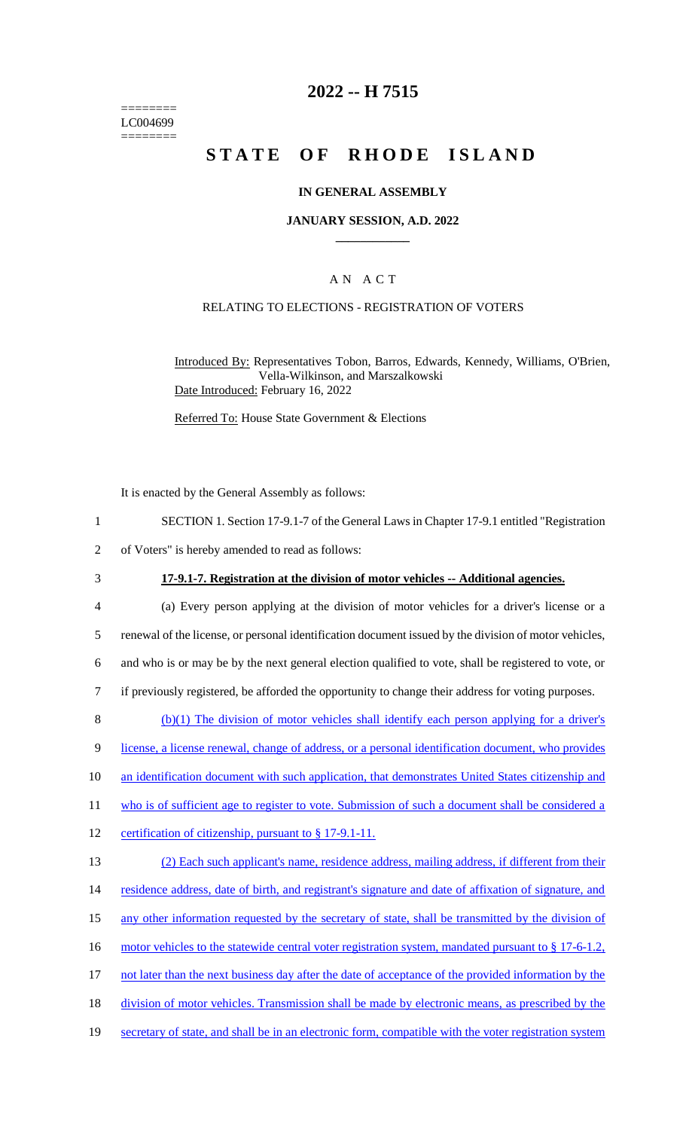======== LC004699 ========

### **2022 -- H 7515**

# **STATE OF RHODE ISLAND**

#### **IN GENERAL ASSEMBLY**

#### **JANUARY SESSION, A.D. 2022 \_\_\_\_\_\_\_\_\_\_\_\_**

#### A N A C T

#### RELATING TO ELECTIONS - REGISTRATION OF VOTERS

Introduced By: Representatives Tobon, Barros, Edwards, Kennedy, Williams, O'Brien, Vella-Wilkinson, and Marszalkowski Date Introduced: February 16, 2022

Referred To: House State Government & Elections

It is enacted by the General Assembly as follows:

- 1 SECTION 1. Section 17-9.1-7 of the General Laws in Chapter 17-9.1 entitled "Registration
- 2 of Voters" is hereby amended to read as follows:
- 

#### 3 **17-9.1-7. Registration at the division of motor vehicles -- Additional agencies.**

- 4 (a) Every person applying at the division of motor vehicles for a driver's license or a 5 renewal of the license, or personal identification document issued by the division of motor vehicles, 6 and who is or may be by the next general election qualified to vote, shall be registered to vote, or 7 if previously registered, be afforded the opportunity to change their address for voting purposes.
- $8$  (b)(1) The division of motor vehicles shall identify each person applying for a driver's
- 9 license, a license renewal, change of address, or a personal identification document, who provides
- 10 an identification document with such application, that demonstrates United States citizenship and
- 11 who is of sufficient age to register to vote. Submission of such a document shall be considered a
- 12 certification of citizenship, pursuant to § 17-9.1-11.

| 13 | (2) Each such applicant's name, residence address, mailing address, if different from their           |
|----|-------------------------------------------------------------------------------------------------------|
| 14 | residence address, date of birth, and registrant's signature and date of affixation of signature, and |
| 15 | any other information requested by the secretary of state, shall be transmitted by the division of    |
| 16 | motor vehicles to the statewide central voter registration system, mandated pursuant to § 17-6-1.2,   |
| 17 | not later than the next business day after the date of acceptance of the provided information by the  |
| 18 | division of motor vehicles. Transmission shall be made by electronic means, as prescribed by the      |
| 19 | secretary of state, and shall be in an electronic form, compatible with the voter registration system |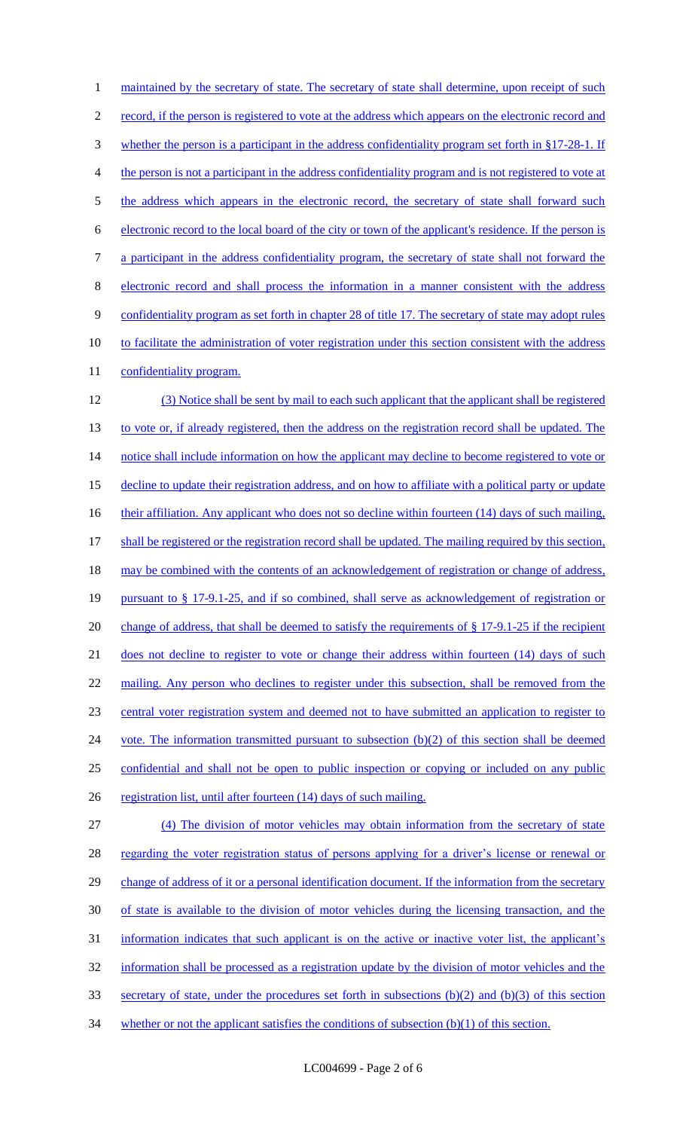1 maintained by the secretary of state. The secretary of state shall determine, upon receipt of such 2 record, if the person is registered to vote at the address which appears on the electronic record and 3 whether the person is a participant in the address confidentiality program set forth in §17-28-1. If 4 the person is not a participant in the address confidentiality program and is not registered to vote at 5 the address which appears in the electronic record, the secretary of state shall forward such 6 electronic record to the local board of the city or town of the applicant's residence. If the person is 7 a participant in the address confidentiality program, the secretary of state shall not forward the 8 electronic record and shall process the information in a manner consistent with the address 9 confidentiality program as set forth in chapter 28 of title 17. The secretary of state may adopt rules 10 to facilitate the administration of voter registration under this section consistent with the address 11 confidentiality program. 12 (3) Notice shall be sent by mail to each such applicant that the applicant shall be registered 13 to vote or, if already registered, then the address on the registration record shall be updated. The 14 notice shall include information on how the applicant may decline to become registered to vote or 15 decline to update their registration address, and on how to affiliate with a political party or update 16 their affiliation. Any applicant who does not so decline within fourteen (14) days of such mailing, 17 shall be registered or the registration record shall be updated. The mailing required by this section, 18 may be combined with the contents of an acknowledgement of registration or change of address, 19 pursuant to § 17-9.1-25, and if so combined, shall serve as acknowledgement of registration or 20 change of address, that shall be deemed to satisfy the requirements of § 17-9.1-25 if the recipient 21 does not decline to register to vote or change their address within fourteen (14) days of such 22 mailing. Any person who declines to register under this subsection, shall be removed from the 23 central voter registration system and deemed not to have submitted an application to register to 24 vote. The information transmitted pursuant to subsection (b)(2) of this section shall be deemed 25 confidential and shall not be open to public inspection or copying or included on any public 26 registration list, until after fourteen (14) days of such mailing. 27 (4) The division of motor vehicles may obtain information from the secretary of state 28 regarding the voter registration status of persons applying for a driver's license or renewal or 29 change of address of it or a personal identification document. If the information from the secretary 30 of state is available to the division of motor vehicles during the licensing transaction, and the 31 information indicates that such applicant is on the active or inactive voter list, the applicant's 32 information shall be processed as a registration update by the division of motor vehicles and the 33 secretary of state, under the procedures set forth in subsections (b)(2) and (b)(3) of this section 34 whether or not the applicant satisfies the conditions of subsection (b)(1) of this section.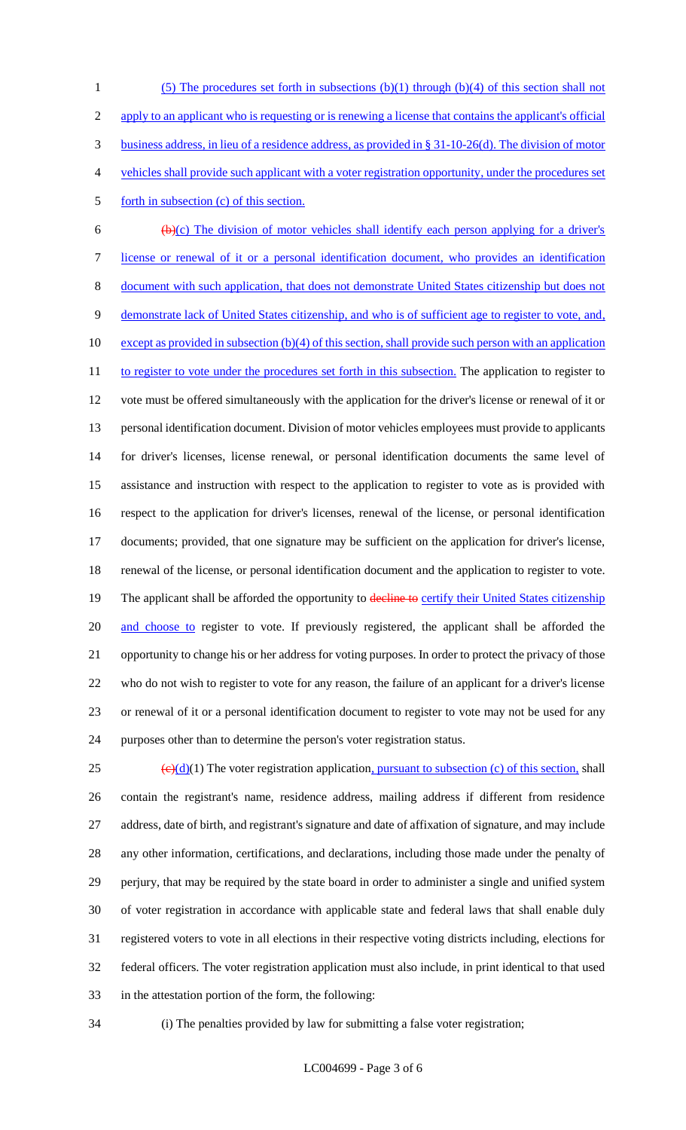(5) The procedures set forth in subsections (b)(1) through (b)(4) of this section shall not 2 apply to an applicant who is requesting or is renewing a license that contains the applicant's official business address, in lieu of a residence address, as provided in § 31-10-26(d). The division of motor vehicles shall provide such applicant with a voter registration opportunity, under the procedures set 5 forth in subsection (c) of this section.

 $6 \left( \frac{b}{c} \right)$  The division of motor vehicles shall identify each person applying for a driver's license or renewal of it or a personal identification document, who provides an identification document with such application, that does not demonstrate United States citizenship but does not demonstrate lack of United States citizenship, and who is of sufficient age to register to vote, and, 10 except as provided in subsection (b)(4) of this section, shall provide such person with an application 11 to register to vote under the procedures set forth in this subsection. The application to register to vote must be offered simultaneously with the application for the driver's license or renewal of it or personal identification document. Division of motor vehicles employees must provide to applicants for driver's licenses, license renewal, or personal identification documents the same level of assistance and instruction with respect to the application to register to vote as is provided with respect to the application for driver's licenses, renewal of the license, or personal identification documents; provided, that one signature may be sufficient on the application for driver's license, renewal of the license, or personal identification document and the application to register to vote. 19 The applicant shall be afforded the opportunity to decline to certify their United States citizenship 20 and choose to register to vote. If previously registered, the applicant shall be afforded the opportunity to change his or her address for voting purposes. In order to protect the privacy of those who do not wish to register to vote for any reason, the failure of an applicant for a driver's license or renewal of it or a personal identification document to register to vote may not be used for any purposes other than to determine the person's voter registration status.

 $\left(\frac{\Theta(d)}{1}\right)$  The voter registration application, pursuant to subsection (c) of this section, shall contain the registrant's name, residence address, mailing address if different from residence address, date of birth, and registrant's signature and date of affixation of signature, and may include any other information, certifications, and declarations, including those made under the penalty of perjury, that may be required by the state board in order to administer a single and unified system of voter registration in accordance with applicable state and federal laws that shall enable duly registered voters to vote in all elections in their respective voting districts including, elections for federal officers. The voter registration application must also include, in print identical to that used in the attestation portion of the form, the following:

(i) The penalties provided by law for submitting a false voter registration;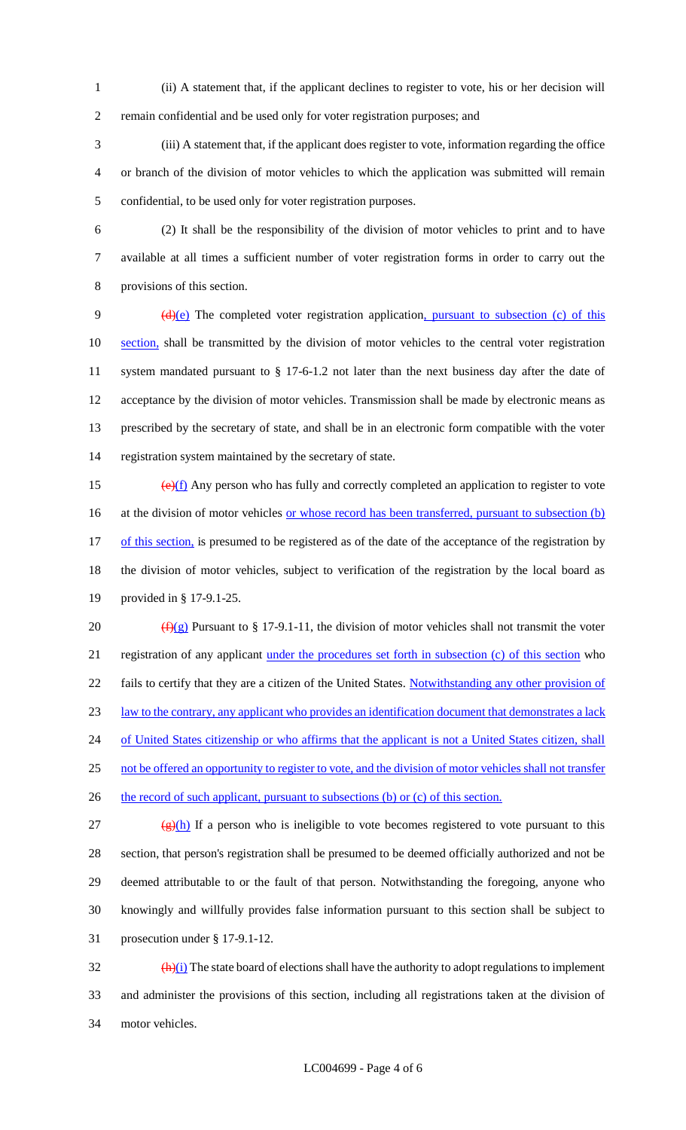(ii) A statement that, if the applicant declines to register to vote, his or her decision will remain confidential and be used only for voter registration purposes; and

 (iii) A statement that, if the applicant does register to vote, information regarding the office or branch of the division of motor vehicles to which the application was submitted will remain confidential, to be used only for voter registration purposes.

 (2) It shall be the responsibility of the division of motor vehicles to print and to have available at all times a sufficient number of voter registration forms in order to carry out the provisions of this section.

9 (d)(e) The completed voter registration application, pursuant to subsection (c) of this 10 section, shall be transmitted by the division of motor vehicles to the central voter registration system mandated pursuant to § 17-6-1.2 not later than the next business day after the date of acceptance by the division of motor vehicles. Transmission shall be made by electronic means as prescribed by the secretary of state, and shall be in an electronic form compatible with the voter registration system maintained by the secretary of state.

15  $\left(\frac{e}{f}\right)$  Any person who has fully and correctly completed an application to register to vote 16 at the division of motor vehicles <u>or whose record has been transferred, pursuant to subsection (b)</u> 17 of this section, is presumed to be registered as of the date of the acceptance of the registration by the division of motor vehicles, subject to verification of the registration by the local board as provided in § 17-9.1-25.

20  $(f)(g)$  Pursuant to § 17-9.1-11, the division of motor vehicles shall not transmit the voter registration of any applicant under the procedures set forth in subsection (c) of this section who 22 fails to certify that they are a citizen of the United States. Notwithstanding any other provision of law to the contrary, any applicant who provides an identification document that demonstrates a lack 24 of United States citizenship or who affirms that the applicant is not a United States citizen, shall not be offered an opportunity to register to vote, and the division of motor vehicles shall not transfer 26 the record of such applicant, pursuant to subsections (b) or (c) of this section. 27 (g)(h) If a person who is ineligible to vote becomes registered to vote pursuant to this

 section, that person's registration shall be presumed to be deemed officially authorized and not be deemed attributable to or the fault of that person. Notwithstanding the foregoing, anyone who knowingly and willfully provides false information pursuant to this section shall be subject to prosecution under § 17-9.1-12.

 $\frac{(\mathbf{h})(i)}{(\mathbf{h})(i)}$  The state board of elections shall have the authority to adopt regulations to implement and administer the provisions of this section, including all registrations taken at the division of motor vehicles.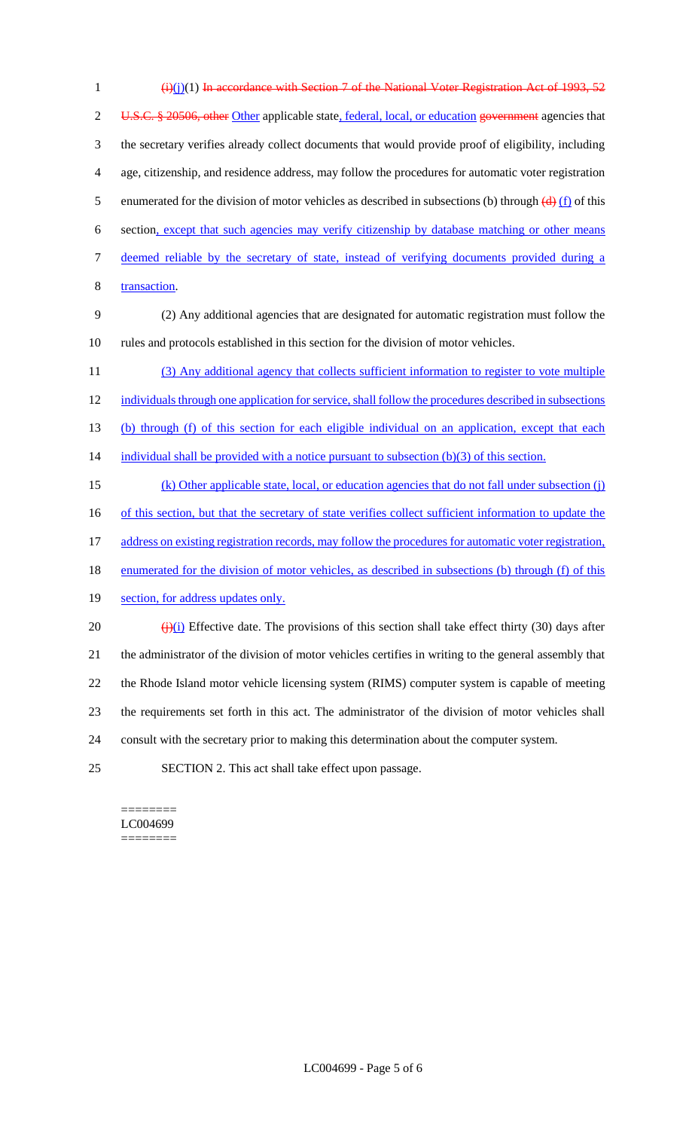| $\mathbf{1}$   | $(i)(i)(1)$ In accordance with Section 7 of the National Voter Registration Act of 1993, 52                                   |
|----------------|-------------------------------------------------------------------------------------------------------------------------------|
| $\overline{2}$ | U.S.C. § 20506, other Other applicable state, federal, local, or education government agencies that                           |
| 3              | the secretary verifies already collect documents that would provide proof of eligibility, including                           |
| 4              | age, citizenship, and residence address, may follow the procedures for automatic voter registration                           |
| 5              | enumerated for the division of motor vehicles as described in subsections (b) through $\left(\frac{d}{dx}\right)$ (f) of this |
| 6              | section, except that such agencies may verify citizenship by database matching or other means                                 |
| 7              | deemed reliable by the secretary of state, instead of verifying documents provided during a                                   |
| 8              | transaction.                                                                                                                  |
| 9              | (2) Any additional agencies that are designated for automatic registration must follow the                                    |
| 10             | rules and protocols established in this section for the division of motor vehicles.                                           |
| 11             | (3) Any additional agency that collects sufficient information to register to vote multiple                                   |
| 12             | individuals through one application for service, shall follow the procedures described in subsections                         |
| 13             | (b) through (f) of this section for each eligible individual on an application, except that each                              |
| 14             | individual shall be provided with a notice pursuant to subsection $(b)(3)$ of this section.                                   |
| 15             | (k) Other applicable state, local, or education agencies that do not fall under subsection (j)                                |
| 16             | of this section, but that the secretary of state verifies collect sufficient information to update the                        |
| 17             | address on existing registration records, may follow the procedures for automatic voter registration,                         |
| 18             | enumerated for the division of motor vehicles, as described in subsections (b) through (f) of this                            |
| 19             | section, for address updates only.                                                                                            |
| 20             | $\frac{f(x)}{g(x)}$ Effective date. The provisions of this section shall take effect thirty (30) days after                   |
| 21             | the administrator of the division of motor vehicles certifies in writing to the general assembly that                         |
| 22             | the Rhode Island motor vehicle licensing system (RIMS) computer system is capable of meeting                                  |
| 23             | the requirements set forth in this act. The administrator of the division of motor vehicles shall                             |
| 24             | consult with the secretary prior to making this determination about the computer system.                                      |
| 25             | SECTION 2. This act shall take effect upon passage.                                                                           |

 $=$ LC004699 ========